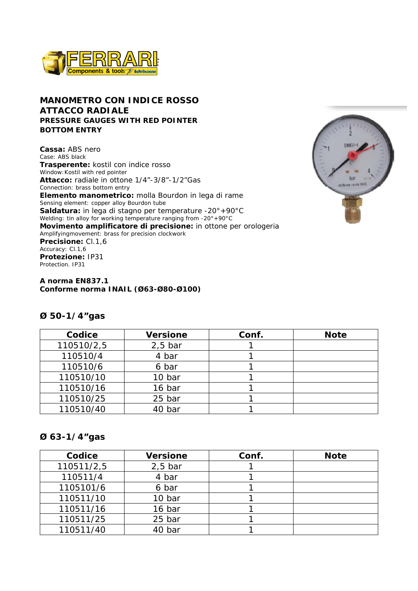

### **MANOMETRO CON INDICE ROSSO ATTACCO RADIALE PRESSURE GAUGES WITH RED POINTER BOTTOM ENTRY**

**Cassa:** ABS nero Case: ABS black **Trasperente:** kostil con indice rosso Window:Kostil with red pointer **Attacco:** radiale in ottone 1/4"-3/8"-1/2"Gas Connection: brass bottom entry **Elemento manometrico:** molla Bourdon in lega di rame Sensing element: copper alloy Bourdon tube **Saldatura:** in lega di stagno per temperature -20°+90°C Welding: tin alloy for working temperature ranging from -20°+90°C **Movimento amplificatore di precisione:** in ottone per orologeria Amplifyingmovement: brass for precision clockwork **Precisione:** Cl.1,6 Accuracy: Cl.1,6 **Protezione:** IP31 Protection. IP31



#### **A norma EN837.1 Conforme norma INAIL (Ø63-Ø80-Ø100)**

| Codice     | <b>Versione</b> | Conf. | <b>Note</b> |
|------------|-----------------|-------|-------------|
| 110510/2,5 | $2,5$ bar       |       |             |
| 110510/4   | 4 bar           |       |             |
| 110510/6   | 6 bar           |       |             |
| 110510/10  | 10 bar          |       |             |
| 110510/16  | 16 bar          |       |             |
| 110510/25  | 25 bar          |       |             |
| 110510/40  | 40 bar          |       |             |

### **Ø 50-1/4"gas**

#### **Ø 63-1/4"gas**

| Codice     | <b>Versione</b> | Conf. | <b>Note</b> |
|------------|-----------------|-------|-------------|
| 110511/2,5 | $2,5$ bar       |       |             |
| 110511/4   | 4 bar           |       |             |
| 1105101/6  | 6 bar           |       |             |
| 110511/10  | 10 bar          |       |             |
| 110511/16  | 16 bar          |       |             |
| 110511/25  | 25 bar          |       |             |
| 110511/40  | 40 bar          |       |             |